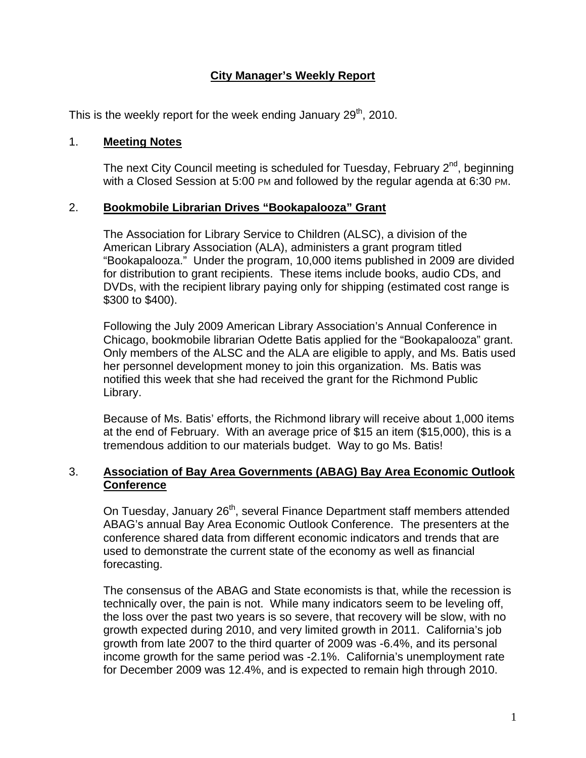## **City Manager's Weekly Report**

This is the weekly report for the week ending January  $29<sup>th</sup>$ , 2010.

#### 1. **Meeting Notes**

The next City Council meeting is scheduled for Tuesday, February  $2<sup>nd</sup>$ , beginning with a Closed Session at 5:00 PM and followed by the regular agenda at 6:30 PM.

### 2. **Bookmobile Librarian Drives "Bookapalooza" Grant**

The Association for Library Service to Children (ALSC), a division of the American Library Association (ALA), administers a grant program titled "Bookapalooza." Under the program, 10,000 items published in 2009 are divided for distribution to grant recipients. These items include books, audio CDs, and DVDs, with the recipient library paying only for shipping (estimated cost range is \$300 to \$400).

Following the July 2009 American Library Association's Annual Conference in Chicago, bookmobile librarian Odette Batis applied for the "Bookapalooza" grant. Only members of the ALSC and the ALA are eligible to apply, and Ms. Batis used her personnel development money to join this organization. Ms. Batis was notified this week that she had received the grant for the Richmond Public Library.

Because of Ms. Batis' efforts, the Richmond library will receive about 1,000 items at the end of February. With an average price of \$15 an item (\$15,000), this is a tremendous addition to our materials budget. Way to go Ms. Batis!

### 3. **Association of Bay Area Governments (ABAG) Bay Area Economic Outlook Conference**

On Tuesday, January 26<sup>th</sup>, several Finance Department staff members attended ABAG's annual Bay Area Economic Outlook Conference. The presenters at the conference shared data from different economic indicators and trends that are used to demonstrate the current state of the economy as well as financial forecasting.

The consensus of the ABAG and State economists is that, while the recession is technically over, the pain is not. While many indicators seem to be leveling off, the loss over the past two years is so severe, that recovery will be slow, with no growth expected during 2010, and very limited growth in 2011. California's job growth from late 2007 to the third quarter of 2009 was -6.4%, and its personal income growth for the same period was -2.1%. California's unemployment rate for December 2009 was 12.4%, and is expected to remain high through 2010.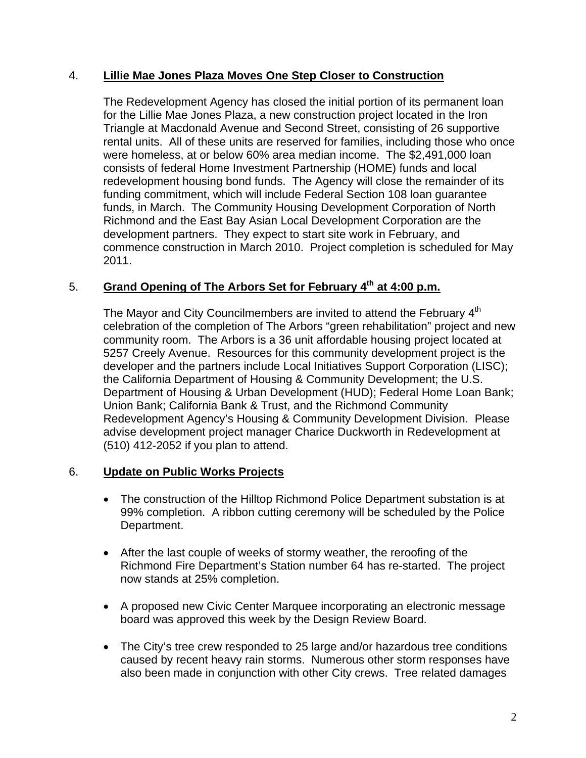### 4. **Lillie Mae Jones Plaza Moves One Step Closer to Construction**

The Redevelopment Agency has closed the initial portion of its permanent loan for the Lillie Mae Jones Plaza, a new construction project located in the Iron Triangle at Macdonald Avenue and Second Street, consisting of 26 supportive rental units. All of these units are reserved for families, including those who once were homeless, at or below 60% area median income. The \$2,491,000 loan consists of federal Home Investment Partnership (HOME) funds and local redevelopment housing bond funds. The Agency will close the remainder of its funding commitment, which will include Federal Section 108 loan guarantee funds, in March. The Community Housing Development Corporation of North Richmond and the East Bay Asian Local Development Corporation are the development partners. They expect to start site work in February, and commence construction in March 2010. Project completion is scheduled for May 2011.

# 5. **Grand Opening of The Arbors Set for February 4th at 4:00 p.m.**

The Mayor and City Councilmembers are invited to attend the February 4<sup>th</sup> celebration of the completion of The Arbors "green rehabilitation" project and new community room. The Arbors is a 36 unit affordable housing project located at 5257 Creely Avenue. Resources for this community development project is the developer and the partners include Local Initiatives Support Corporation (LISC); the California Department of Housing & Community Development; the U.S. Department of Housing & Urban Development (HUD); Federal Home Loan Bank; Union Bank; California Bank & Trust, and the Richmond Community Redevelopment Agency's Housing & Community Development Division. Please advise development project manager Charice Duckworth in Redevelopment at (510) 412-2052 if you plan to attend.

## 6. **Update on Public Works Projects**

- The construction of the Hilltop Richmond Police Department substation is at 99% completion. A ribbon cutting ceremony will be scheduled by the Police Department.
- After the last couple of weeks of stormy weather, the reroofing of the Richmond Fire Department's Station number 64 has re-started. The project now stands at 25% completion.
- A proposed new Civic Center Marquee incorporating an electronic message board was approved this week by the Design Review Board.
- The City's tree crew responded to 25 large and/or hazardous tree conditions caused by recent heavy rain storms. Numerous other storm responses have also been made in conjunction with other City crews. Tree related damages